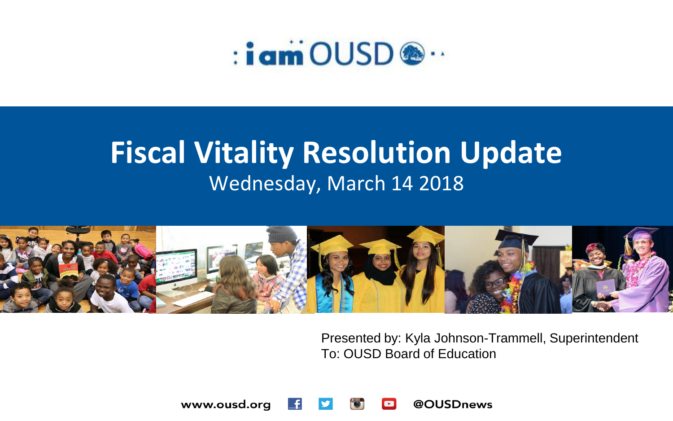

### **Fiscal Vitality Resolution Update** Wednesday, March 14 2018



Presented by: Kyla Johnson-Trammell, Superintendent To: OUSD Board of Education

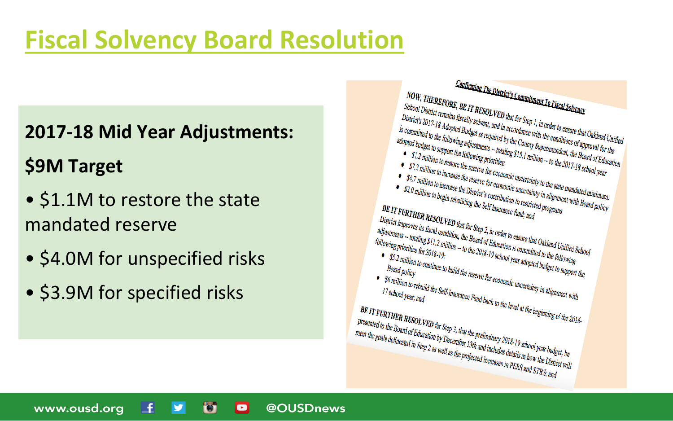### **[Fiscal Solvency Board Resolution](https://drive.google.com/file/d/1SsOjoR2neejzUIPBP1VDyb8SMYcDYrf6/view?usp=sharing)**

#### **2017-18 Mid Year Adjustments:**

#### **\$9M Target**

- \$1.1M to restore the state mandated reserve
- \$4.0M for unspecified risks
- \$3.9M for specified risks

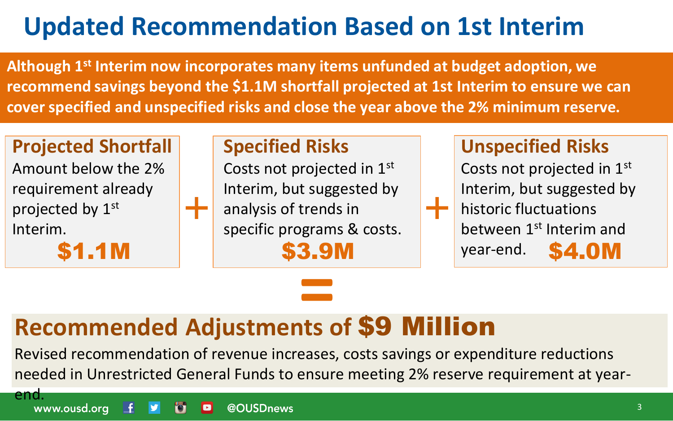### **Updated Recommendation Based on 1st Interim**

**Although 1st Interim now incorporates many items unfunded at budget adoption, we recommend savings beyond the \$1.1M shortfall projected at 1st Interim to ensure we can cover specified and unspecified risks and close the year above the 2% minimum reserve.**

#### **Projected Shortfall**

Amount below the 2% requirement already projected by 1st Interim.

#### **Specified Risks**

Costs not projected in 1st Interim, but suggested by analysis of trends in specific programs & costs.

#### **Unspecified Risks**

Costs not projected in 1st Interim, but suggested by historic fluctuations between 1st Interim and year-end. **\$1.1M** | **\$3.9M** year-end. **\$4.0M** 

# **Recommended Adjustments of** \$9 Million **=**

Revised recommendation of revenue increases, costs savings or expenditure reductions needed in Unrestricted General Funds to ensure meeting 2% reserve requirement at year-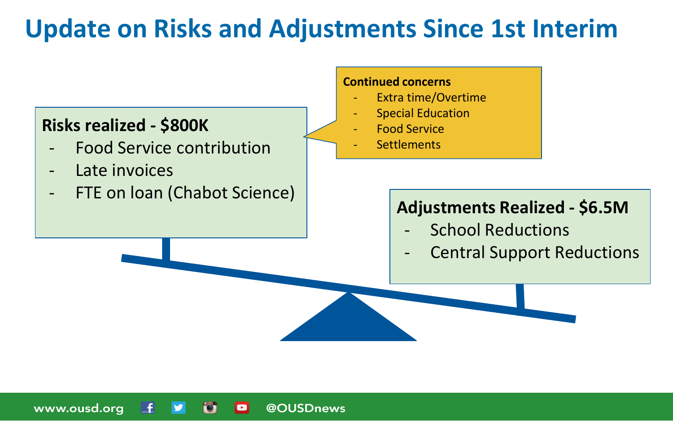### **Update on Risks and Adjustments Since 1st Interim**

@OUSDnews

 $\blacksquare$ 

#### **Risks realized - \$800K**

- Food Service contribution
- Late invoices

www.ousd.org

- FTE on loan (Chabot Science)

#### **Continued concerns**

- Extra time/Overtime
- **Special Education**
- Food Service
- **Settlements**

#### **Adjustments Realized - \$6.5M**

- School Reductions
- **Central Support Reductions**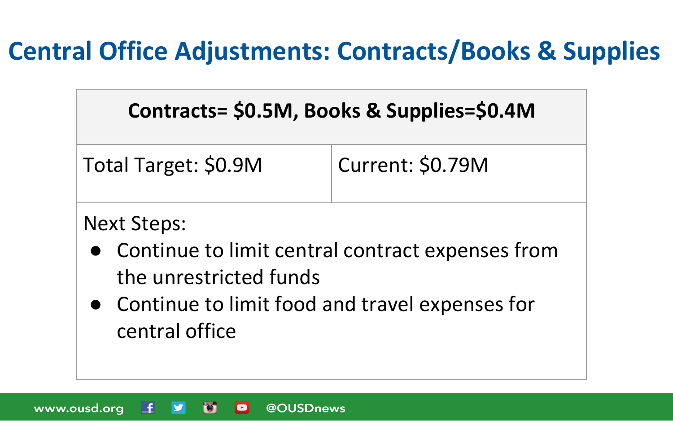### **Central Office Adjustments: Contracts/Books & Supplies**

### **Contracts= \$0.5M, Books & Supplies=\$0.4M**

| Total Target: \$0.9M | Current: \$0.79M |
|----------------------|------------------|
|                      |                  |

#### Next Steps:

- Continue to limit central contract expenses from the unrestricted funds
- Continue to limit food and travel expenses for central office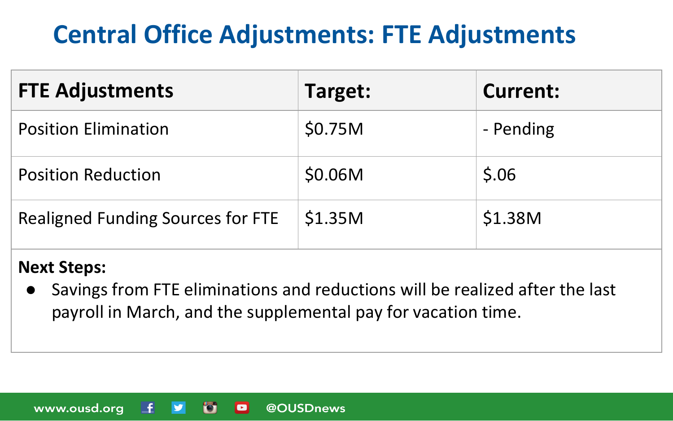### **Central Office Adjustments: FTE Adjustments**

| <b>FTE Adjustments</b>                   | Target: | <b>Current:</b> |
|------------------------------------------|---------|-----------------|
| <b>Position Elimination</b>              | \$0.75M | - Pending       |
| <b>Position Reduction</b>                | \$0.06M | \$.06           |
| <b>Realigned Funding Sources for FTE</b> | \$1.35M | \$1.38M         |

#### **Next Steps:**

● Savings from FTE eliminations and reductions will be realized after the last payroll in March, and the supplemental pay for vacation time.

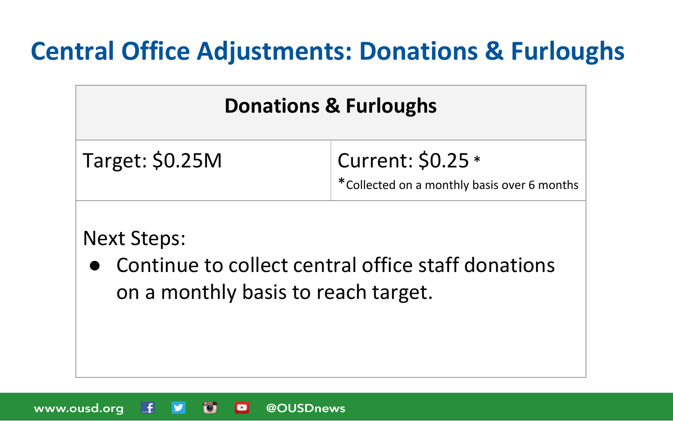### **Central Office Adjustments: Donations & Furloughs**

### **Donations & Furloughs**

Target: \$0.25M Current: \$0.25 \*

\*Collected on a monthly basis over 6 months

#### Next Steps:

● Continue to collect central office staff donations on a monthly basis to reach target.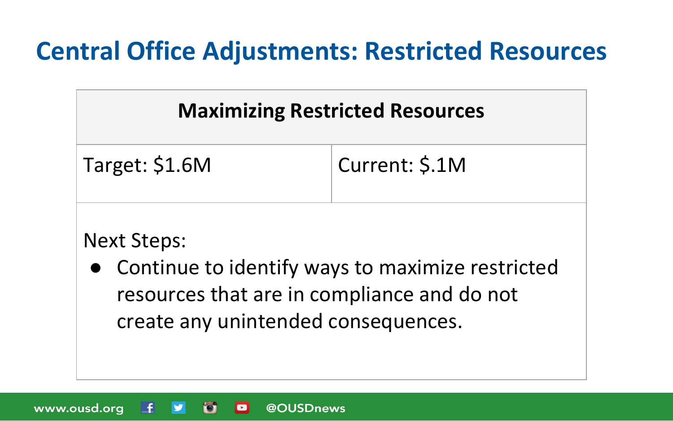### **Central Office Adjustments: Restricted Resources**

### **Maximizing Restricted Resources**

| Target: \$1.6M | Current: \$.1M |
|----------------|----------------|
|                |                |

#### Next Steps:

● Continue to identify ways to maximize restricted resources that are in compliance and do not create any unintended consequences.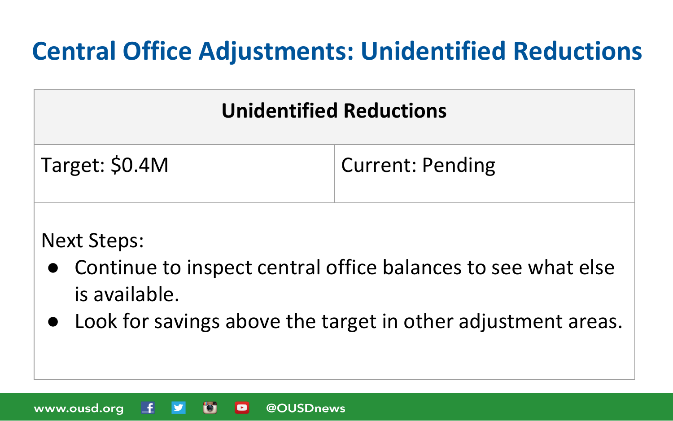### **Central Office Adjustments: Unidentified Reductions**

### **Unidentified Reductions**

| Target: \$0.4M | <b>Current: Pending</b> |
|----------------|-------------------------|
|                |                         |

#### Next Steps:

www.ousd.org

L£.

- Continue to inspect central office balances to see what else is available.
- Look for savings above the target in other adjustment areas.

@OUSDnews

D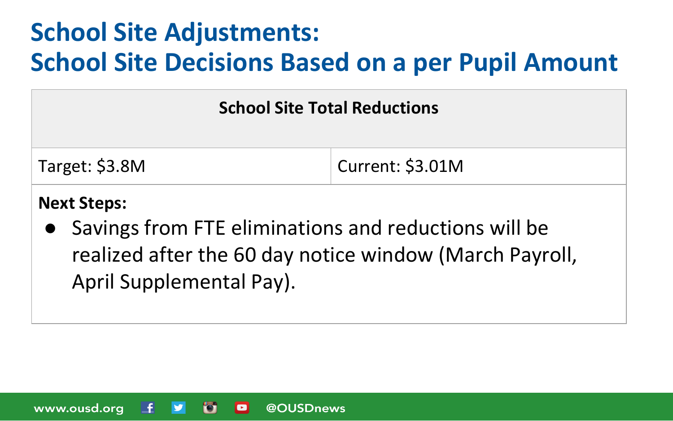### **School Site Adjustments: School Site Decisions Based on a per Pupil Amount**

#### **School Site Total Reductions**

| Target: \$3.8M | $\vert$ Current: \$3.01M |
|----------------|--------------------------|
|----------------|--------------------------|

#### **Next Steps:**

● Savings from FTE eliminations and reductions will be realized after the 60 day notice window (March Payroll, April Supplemental Pay).

@OUSDnews www.ousd.org  $\bullet$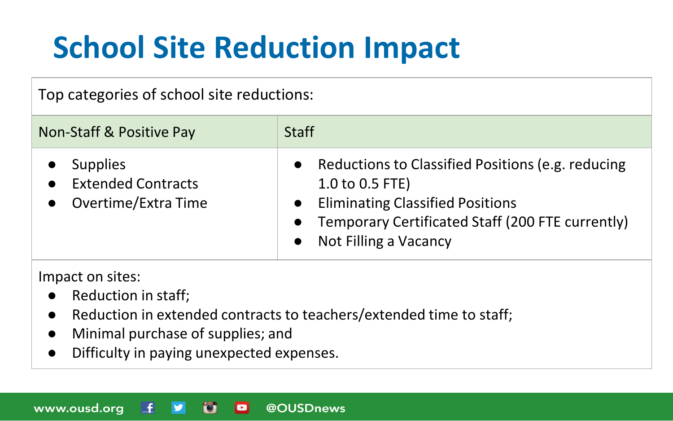## **School Site Reduction Impact**

#### Top categories of school site reductions:

| Non-Staff & Positive Pay                                            | <b>Staff</b>                                                                                                                                                                                 |
|---------------------------------------------------------------------|----------------------------------------------------------------------------------------------------------------------------------------------------------------------------------------------|
| <b>Supplies</b><br><b>Extended Contracts</b><br>Overtime/Extra Time | Reductions to Classified Positions (e.g. reducing<br>1.0 to 0.5 FTE)<br><b>Eliminating Classified Positions</b><br>Temporary Certificated Staff (200 FTE currently)<br>Not Filling a Vacancy |

Impact on sites:

- Reduction in staff;
- Reduction in extended contracts to teachers/extended time to staff;
- Minimal purchase of supplies; and
- Difficulty in paying unexpected expenses.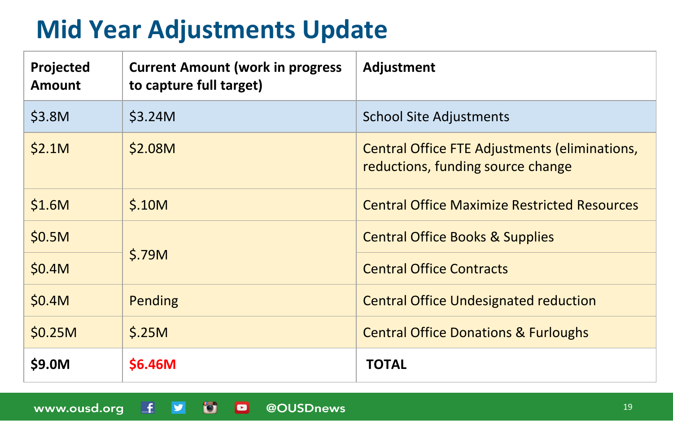### **Mid Year Adjustments Update**

| Projected<br><b>Amount</b> | <b>Current Amount (work in progress)</b><br>to capture full target) | Adjustment                                                                         |
|----------------------------|---------------------------------------------------------------------|------------------------------------------------------------------------------------|
| \$3.8M                     | \$3.24M                                                             | <b>School Site Adjustments</b>                                                     |
| \$2.1M                     | \$2.08M                                                             | Central Office FTE Adjustments (eliminations,<br>reductions, funding source change |
| \$1.6M                     | \$.10M                                                              | <b>Central Office Maximize Restricted Resources</b>                                |
| \$0.5M                     | \$.79M                                                              | <b>Central Office Books &amp; Supplies</b>                                         |
| \$0.4M                     |                                                                     | <b>Central Office Contracts</b>                                                    |
| \$0.4M                     | Pending                                                             | <b>Central Office Undesignated reduction</b>                                       |
| \$0.25M                    | \$.25M                                                              | <b>Central Office Donations &amp; Furloughs</b>                                    |
| \$9.0M                     | \$6.46M                                                             | TOTAL                                                                              |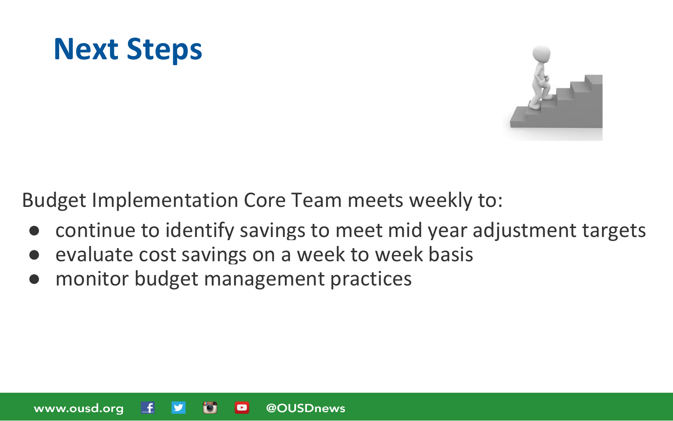



Budget Implementation Core Team meets weekly to:

- continue to identify savings to meet mid year adjustment targets
- evaluate cost savings on a week to week basis
- monitor budget management practices

www.ousd.org @OUSDnews